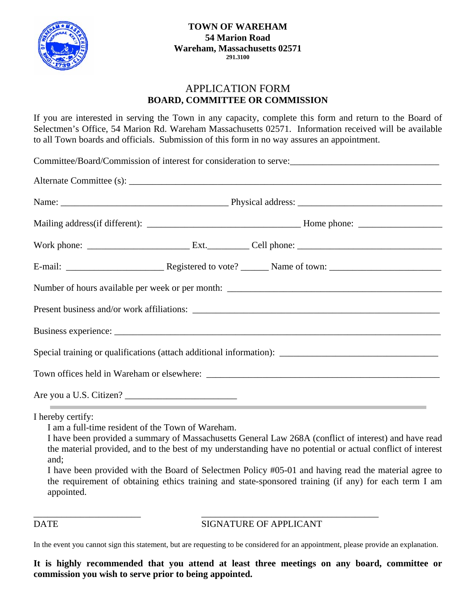

## APPLICATION FORM **BOARD, COMMITTEE OR COMMISSION**

If you are interested in serving the Town in any capacity, complete this form and return to the Board of Selectmen's Office, 54 Marion Rd. Wareham Massachusetts 02571. Information received will be available to all Town boards and officials. Submission of this form in no way assures an appointment.

Committee/Board/Commission of interest for consideration to serve:\_\_\_\_\_\_\_\_\_\_\_\_\_\_\_\_\_\_\_\_\_\_\_\_\_\_\_\_\_\_\_\_

|                                                                                                                 |  | Special training or qualifications (attach additional information): ________________________________ |                                   |
|-----------------------------------------------------------------------------------------------------------------|--|------------------------------------------------------------------------------------------------------|-----------------------------------|
|                                                                                                                 |  |                                                                                                      |                                   |
| the contract of the contract of the contract of the contract of the contract of the contract of the contract of |  |                                                                                                      | the control of the control of the |

I hereby certify:

I am a full-time resident of the Town of Wareham.

I have been provided a summary of Massachusetts General Law 268A (conflict of interest) and have read the material provided, and to the best of my understanding have no potential or actual conflict of interest and;

I have been provided with the Board of Selectmen Policy #05-01 and having read the material agree to the requirement of obtaining ethics training and state-sponsored training (if any) for each term I am appointed.

DATE SIGNATURE OF APPLICANT

In the event you cannot sign this statement, but are requesting to be considered for an appointment, please provide an explanation.

\_\_\_\_\_\_\_\_\_\_\_\_\_\_\_\_\_\_\_\_\_\_\_ \_\_\_\_\_\_\_\_\_\_\_\_\_\_\_\_\_\_\_\_\_\_\_\_\_\_\_\_\_\_\_\_\_\_\_\_\_\_

## **It is highly recommended that you attend at least three meetings on any board, committee or commission you wish to serve prior to being appointed.**